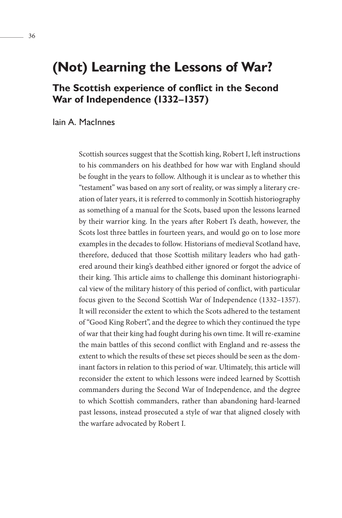# **(Not) Learning the Lessons of War?**

## **The Scottish experience of conflict in the Second War of Independence (1332–1357)**

Iain A. MacInnes

Scottish sources suggest that the Scottish king, Robert I, left instructions to his commanders on his deathbed for how war with England should be fought in the years to follow. Although it is unclear as to whether this "testament" was based on any sort of reality, or was simply a literary creation of later years, it is referred to commonly in Scottish historiography as something of a manual for the Scots, based upon the lessons learned by their warrior king. In the years after Robert I's death, however, the Scots lost three battles in fourteen years, and would go on to lose more examples in the decades to follow. Historians of medieval Scotland have, therefore, deduced that those Scottish military leaders who had gathered around their king's deathbed either ignored or forgot the advice of their king. This article aims to challenge this dominant historiographical view of the military history of this period of conflict, with particular focus given to the Second Scottish War of Independence (1332–1357). It will reconsider the extent to which the Scots adhered to the testament of "Good King Robert", and the degree to which they continued the type of war that their king had fought during his own time. It will re-examine the main battles of this second conflict with England and re-assess the extent to which the results of these set pieces should be seen as the dominant factors in relation to this period of war. Ultimately, this article will reconsider the extent to which lessons were indeed learned by Scottish commanders during the Second War of Independence, and the degree to which Scottish commanders, rather than abandoning hard-learned past lessons, instead prosecuted a style of war that aligned closely with the warfare advocated by Robert I.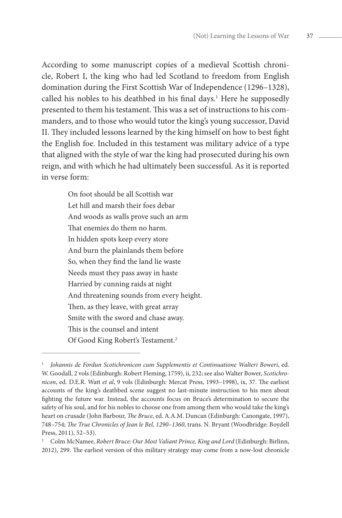According to some manuscript copies of a medieval Scottish chronicle, Robert I, the king who had led Scotland to freedom from English domination during the First Scottish War of Independence (1296–1328), called his nobles to his deathbed in his final days.<sup>1</sup> Here he supposedly presented to them his testament. This was a set of instructions to his commanders, and to those who would tutor the king's young successor, David II. They included lessons learned by the king himself on how to best fight the English foe. Included in this testament was military advice of a type that aligned with the style of war the king had prosecuted during his own reign, and with which he had ultimately been successful. As it is reported in verse form:

> On foot should be all Scottish war Let hill and marsh their foes debar And woods as walls prove such an arm That enemies do them no harm. In hidden spots keep every store And burn the plainlands them before So, when they find the land lie waste Needs must they pass away in haste Harried by cunning raids at night And threatening sounds from every height. Then, as they leave, with great array Smite with the sword and chase away. This is the counsel and intent Of Good King Robert's Testament.2

<sup>1</sup> *Johannis de Fordun Scotichronicon cum Supplementis et Continuatione Walteri Boweri*, ed. W. Goodall, 2 vols (Edinburgh: Robert Fleming, 1759), ii, 232; see also Walter Bower, *Scotichronicon*, ed. D.E.R. Watt *et al*, 9 vols (Edinburgh: Mercat Press, 1993–1998), ix, 37. The earliest accounts of the king's deathbed scene suggest no last-minute instruction to his men about fighting the future war. Instead, the accounts focus on Bruce's determination to secure the safety of his soul, and for his nobles to choose one from among them who would take the king's heart on crusade (John Barbour, *The Bruce*, ed. A.A.M. Duncan (Edinburgh: Canongate, 1997), 748–754; *The True Chronicles of Jean le Bel, 1290–1360*, trans. N. Bryant (Woodbridge: Boydell Press, 2011), 52–53).

<sup>2</sup> Colm McNamee, *Robert Bruce: Our Most Valiant Prince, King and Lord* (Edinburgh: Birlinn, 2012), 299. The earliest version of this military strategy may come from a now-lost chronicle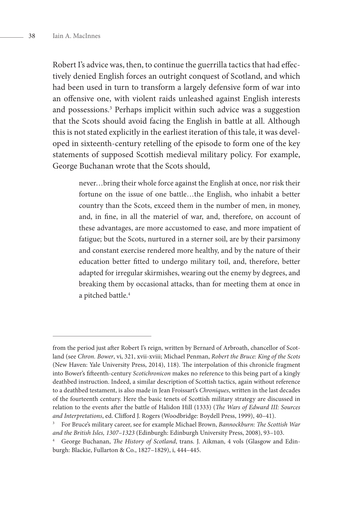Robert I's advice was, then, to continue the guerrilla tactics that had effectively denied English forces an outright conquest of Scotland, and which had been used in turn to transform a largely defensive form of war into an offensive one, with violent raids unleashed against English interests and possessions.<sup>3</sup> Perhaps implicit within such advice was a suggestion that the Scots should avoid facing the English in battle at all. Although this is not stated explicitly in the earliest iteration of this tale, it was developed in sixteenth-century retelling of the episode to form one of the key statements of supposed Scottish medieval military policy. For example, George Buchanan wrote that the Scots should,

> never…bring their whole force against the English at once, nor risk their fortune on the issue of one battle…the English, who inhabit a better country than the Scots, exceed them in the number of men, in money, and, in fine, in all the materiel of war, and, therefore, on account of these advantages, are more accustomed to ease, and more impatient of fatigue; but the Scots, nurtured in a sterner soil, are by their parsimony and constant exercise rendered more healthy, and by the nature of their education better fitted to undergo military toil, and, therefore, better adapted for irregular skirmishes, wearing out the enemy by degrees, and breaking them by occasional attacks, than for meeting them at once in a pitched battle.<sup>4</sup>

from the period just after Robert I's reign, written by Bernard of Arbroath, chancellor of Scotland (see *Chron. Bower*, vi, 321, xvii-xviii; Michael Penman, *Robert the Bruce: King of the Scots* (New Haven: Yale University Press, 2014), 118). The interpolation of this chronicle fragment into Bower's fifteenth-century *Scotichronicon* makes no reference to this being part of a kingly deathbed instruction. Indeed, a similar description of Scottish tactics, again without reference to a deathbed testament, is also made in Jean Froissart's *Chroniques*, written in the last decades of the fourteenth century. Here the basic tenets of Scottish military strategy are discussed in relation to the events after the battle of Halidon Hill (1333) (*The Wars of Edward III: Sources and Interpretations*, ed. Clifford J. Rogers (Woodbridge: Boydell Press, 1999), 40–41). 3 For Bruce's military career, see for example Michael Brown, *Bannockburn: The Scottish War* 

*and the British Isles, 1307–1323* (Edinburgh: Edinburgh University Press, 2008), 93–103. 4 George Buchanan, *The History of Scotland*, trans. J. Aikman, 4 vols (Glasgow and Edin-

burgh: Blackie, Fullarton & Co., 1827–1829), i, 444–445.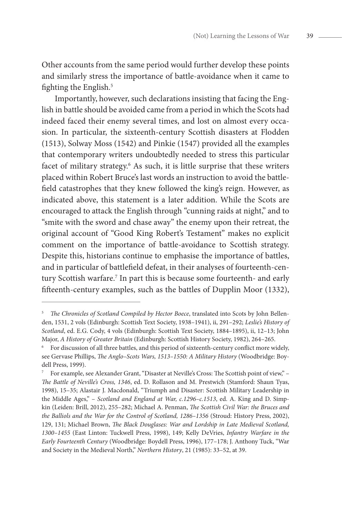

Other accounts from the same period would further develop these points and similarly stress the importance of battle-avoidance when it came to fighting the English.<sup>5</sup>

Importantly, however, such declarations insisting that facing the English in battle should be avoided came from a period in which the Scots had indeed faced their enemy several times, and lost on almost every occasion. In particular, the sixteenth-century Scottish disasters at Flodden (1513), Solway Moss (1542) and Pinkie (1547) provided all the examples that contemporary writers undoubtedly needed to stress this particular facet of military strategy.<sup>6</sup> As such, it is little surprise that these writers placed within Robert Bruce's last words an instruction to avoid the battlefield catastrophes that they knew followed the king's reign. However, as indicated above, this statement is a later addition. While the Scots are encouraged to attack the English through "cunning raids at night," and to "smite with the sword and chase away" the enemy upon their retreat, the original account of "Good King Robert's Testament" makes no explicit comment on the importance of battle-avoidance to Scottish strategy. Despite this, historians continue to emphasise the importance of battles, and in particular of battlefield defeat, in their analyses of fourteenth-century Scottish warfare.<sup>7</sup> In part this is because some fourteenth- and early fifteenth-century examples, such as the battles of Dupplin Moor (1332),

<sup>5</sup> *The Chronicles of Scotland Compiled by Hector Boece*, translated into Scots by John Bellenden, 1531, 2 vols (Edinburgh: Scottish Text Society, 1938–1941), ii, 291–292; *Leslie's History of Scotland*, ed. E.G. Cody, 4 vols (Edinburgh: Scottish Text Society, 1884–1895), ii, 12–13; John Major, *A History of Greater Britain* (Edinburgh: Scottish History Society, 1982), 264–265.

<sup>6</sup> For discussion of all three battles, and this period of sixteenth-century conflict more widely, see Gervase Phillips, *The Anglo–Scots Wars, 1513–1550: A Military History* (Woodbridge: Boydell Press, 1999).

<sup>7</sup> For example, see Alexander Grant, "Disaster at Neville's Cross: The Scottish point of view," – *The Battle of Neville's Cross, 1346*, ed. D. Rollason and M. Prestwich (Stamford: Shaun Tyas, 1998), 15–35; Alastair J. Macdonald, "Triumph and Disaster: Scottish Military Leadership in the Middle Ages," – *Scotland and England at War, c.1296–c.1513*, ed. A. King and D. Simpkin (Leiden: Brill, 2012), 255–282; Michael A. Penman, *The Scottish Civil War: the Bruces and the Balliols and the War for the Control of Scotland, 1286–1356* (Stroud: History Press, 2002), 129, 131; Michael Brown, *The Black Douglases: War and Lordship in Late Medieval Scotland, 1300–1455* (East Linton: Tuckwell Press, 1998), 149; Kelly DeVries, *Infantry Warfare in the Early Fourteenth Century* (Woodbridge: Boydell Press, 1996), 177–178; J. Anthony Tuck, "War and Society in the Medieval North," *Northern History*, 21 (1985): 33–52, at 39.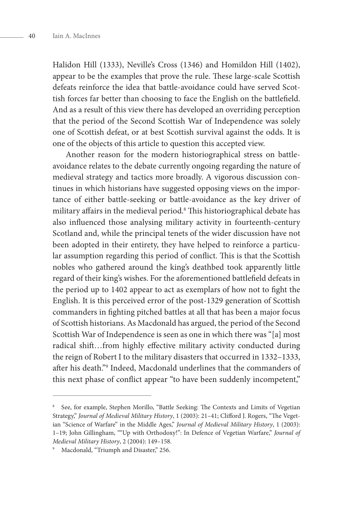Halidon Hill (1333), Neville's Cross (1346) and Homildon Hill (1402), appear to be the examples that prove the rule. These large-scale Scottish defeats reinforce the idea that battle-avoidance could have served Scottish forces far better than choosing to face the English on the battlefield. And as a result of this view there has developed an overriding perception that the period of the Second Scottish War of Independence was solely one of Scottish defeat, or at best Scottish survival against the odds. It is one of the objects of this article to question this accepted view.

Another reason for the modern historiographical stress on battleavoidance relates to the debate currently ongoing regarding the nature of medieval strategy and tactics more broadly. A vigorous discussion continues in which historians have suggested opposing views on the importance of either battle-seeking or battle-avoidance as the key driver of military affairs in the medieval period.8 This historiographical debate has also influenced those analysing military activity in fourteenth-century Scotland and, while the principal tenets of the wider discussion have not been adopted in their entirety, they have helped to reinforce a particular assumption regarding this period of conflict. This is that the Scottish nobles who gathered around the king's deathbed took apparently little regard of their king's wishes. For the aforementioned battlefield defeats in the period up to 1402 appear to act as exemplars of how not to fight the English. It is this perceived error of the post-1329 generation of Scottish commanders in fighting pitched battles at all that has been a major focus of Scottish historians. As Macdonald has argued, the period of the Second Scottish War of Independence is seen as one in which there was "[a] most radical shift…from highly effective military activity conducted during the reign of Robert I to the military disasters that occurred in 1332–1333, after his death."9 Indeed, Macdonald underlines that the commanders of this next phase of conflict appear "to have been suddenly incompetent,"

<sup>8</sup> See, for example, Stephen Morillo, "Battle Seeking: The Contexts and Limits of Vegetian Strategy," *Journal of Medieval Military History*, 1 (2003): 21–41; Clifford J. Rogers, "The Vegetian "Science of Warfare" in the Middle Ages," *Journal of Medieval Military History*, 1 (2003): 1–19; John Gillingham, ""Up with Orthodoxy!": In Defence of Vegetian Warfare," *Journal of Medieval Military History*, 2 (2004): 149–158.

<sup>&</sup>lt;sup>9</sup> Macdonald, "Triumph and Disaster," 256.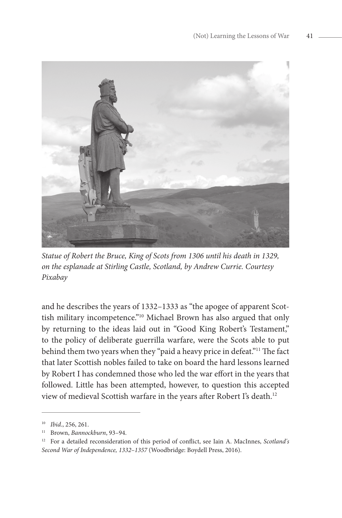

*Statue of Robert the Bruce, King of Scots from 1306 until his death in 1329, on the esplanade at Stirling Castle, Scotland, by Andrew Currie. Courtesy Pixabay*

and he describes the years of 1332–1333 as "the apogee of apparent Scottish military incompetence."10 Michael Brown has also argued that only by returning to the ideas laid out in "Good King Robert's Testament," to the policy of deliberate guerrilla warfare, were the Scots able to put behind them two years when they "paid a heavy price in defeat."11 The fact that later Scottish nobles failed to take on board the hard lessons learned by Robert I has condemned those who led the war effort in the years that followed. Little has been attempted, however, to question this accepted view of medieval Scottish warfare in the years after Robert I's death.<sup>12</sup>

<sup>10</sup> *Ibid*., 256, 261.

<sup>11</sup> Brown, *Bannockburn*, 93–94.

<sup>12</sup> For a detailed reconsideration of this period of conflict, see Iain A. MacInnes, *Scotland's Second War of Independence, 1332–1357* (Woodbridge: Boydell Press, 2016).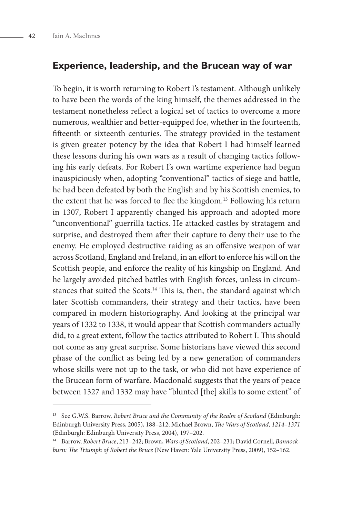### **Experience, leadership, and the Brucean way of war**

To begin, it is worth returning to Robert I's testament. Although unlikely to have been the words of the king himself, the themes addressed in the testament nonetheless reflect a logical set of tactics to overcome a more numerous, wealthier and better-equipped foe, whether in the fourteenth, fifteenth or sixteenth centuries. The strategy provided in the testament is given greater potency by the idea that Robert I had himself learned these lessons during his own wars as a result of changing tactics following his early defeats. For Robert I's own wartime experience had begun inauspiciously when, adopting "conventional" tactics of siege and battle, he had been defeated by both the English and by his Scottish enemies, to the extent that he was forced to flee the kingdom.<sup>13</sup> Following his return in 1307, Robert I apparently changed his approach and adopted more "unconventional" guerrilla tactics. He attacked castles by stratagem and surprise, and destroyed them after their capture to deny their use to the enemy. He employed destructive raiding as an offensive weapon of war across Scotland, England and Ireland, in an effort to enforce his will on the Scottish people, and enforce the reality of his kingship on England. And he largely avoided pitched battles with English forces, unless in circumstances that suited the Scots.<sup>14</sup> This is, then, the standard against which later Scottish commanders, their strategy and their tactics, have been compared in modern historiography. And looking at the principal war years of 1332 to 1338, it would appear that Scottish commanders actually did, to a great extent, follow the tactics attributed to Robert I. This should not come as any great surprise. Some historians have viewed this second phase of the conflict as being led by a new generation of commanders whose skills were not up to the task, or who did not have experience of the Brucean form of warfare. Macdonald suggests that the years of peace between 1327 and 1332 may have "blunted [the] skills to some extent" of

<sup>&</sup>lt;sup>13</sup> See G.W.S. Barrow, *Robert Bruce and the Community of the Realm of Scotland* (Edinburgh: Edinburgh University Press, 2005), 188–212; Michael Brown, *The Wars of Scotland, 1214–1371* (Edinburgh: Edinburgh University Press, 2004), 197–202.

<sup>14</sup> Barrow, *Robert Bruce*, 213–242; Brown, *Wars of Scotland*, 202–231; David Cornell, *Bannockburn: The Triumph of Robert the Bruce* (New Haven: Yale University Press, 2009), 152–162.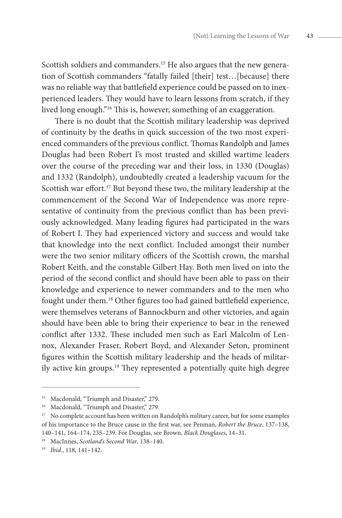Scottish soldiers and commanders.<sup>15</sup> He also argues that the new generation of Scottish commanders "fatally failed [their] test…[because] there was no reliable way that battlefield experience could be passed on to inexperienced leaders. They would have to learn lessons from scratch, if they lived long enough."16 This is, however, something of an exaggeration.

There is no doubt that the Scottish military leadership was deprived of continuity by the deaths in quick succession of the two most experienced commanders of the previous conflict. Thomas Randolph and James Douglas had been Robert I's most trusted and skilled wartime leaders over the course of the preceding war and their loss, in 1330 (Douglas) and 1332 (Randolph), undoubtedly created a leadership vacuum for the Scottish war effort.<sup>17</sup> But beyond these two, the military leadership at the commencement of the Second War of Independence was more representative of continuity from the previous conflict than has been previously acknowledged. Many leading figures had participated in the wars of Robert I. They had experienced victory and success and would take that knowledge into the next conflict. Included amongst their number were the two senior military officers of the Scottish crown, the marshal Robert Keith, and the constable Gilbert Hay. Both men lived on into the period of the second conflict and should have been able to pass on their knowledge and experience to newer commanders and to the men who fought under them.18 Other figures too had gained battlefield experience, were themselves veterans of Bannockburn and other victories, and again should have been able to bring their experience to bear in the renewed conflict after 1332. These included men such as Earl Malcolm of Lennox, Alexander Fraser, Robert Boyd, and Alexander Seton, prominent figures within the Scottish military leadership and the heads of militarily active kin groups.19 They represented a potentially quite high degree

<sup>&</sup>lt;sup>15</sup> Macdonald, "Triumph and Disaster," 279.

<sup>&</sup>lt;sup>16</sup> Macdonald, "Triumph and Disaster," 279.

<sup>&</sup>lt;sup>17</sup> No complete account has been written on Randolph's military career, but for some examples of his importance to the Bruce cause in the first war, see Penman, *Robert the Bruce*, 137–138, 140–141, 164–174, 235–239. For Douglas, see Brown, *Black Douglases*, 14–31. 18 MacInnes, *Scotland's Second War*, 138–140.

<sup>19</sup> *Ibid.*, 118, 141–142.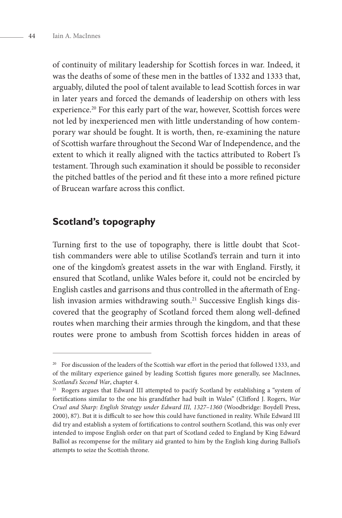of continuity of military leadership for Scottish forces in war. Indeed, it was the deaths of some of these men in the battles of 1332 and 1333 that, arguably, diluted the pool of talent available to lead Scottish forces in war in later years and forced the demands of leadership on others with less experience.<sup>20</sup> For this early part of the war, however, Scottish forces were not led by inexperienced men with little understanding of how contemporary war should be fought. It is worth, then, re-examining the nature of Scottish warfare throughout the Second War of Independence, and the extent to which it really aligned with the tactics attributed to Robert I's testament. Through such examination it should be possible to reconsider the pitched battles of the period and fit these into a more refined picture of Brucean warfare across this conflict.

## **Scotland's topography**

Turning first to the use of topography, there is little doubt that Scottish commanders were able to utilise Scotland's terrain and turn it into one of the kingdom's greatest assets in the war with England. Firstly, it ensured that Scotland, unlike Wales before it, could not be encircled by English castles and garrisons and thus controlled in the aftermath of English invasion armies withdrawing south.<sup>21</sup> Successive English kings discovered that the geography of Scotland forced them along well-defined routes when marching their armies through the kingdom, and that these routes were prone to ambush from Scottish forces hidden in areas of

<sup>&</sup>lt;sup>20</sup> For discussion of the leaders of the Scottish war effort in the period that followed 1333, and of the military experience gained by leading Scottish figures more generally, see MacInnes, *Scotland's Second War*, chapter 4.<br><sup>21</sup> Rogers argues that Edward III attempted to pacify Scotland by establishing a "system of

fortifications similar to the one his grandfather had built in Wales" (Clifford J. Rogers, *War Cruel and Sharp: English Strategy under Edward III, 1327–1360* (Woodbridge: Boydell Press, 2000), 87). But it is difficult to see how this could have functioned in reality. While Edward III did try and establish a system of fortifications to control southern Scotland, this was only ever intended to impose English order on that part of Scotland ceded to England by King Edward Balliol as recompense for the military aid granted to him by the English king during Balliol's attempts to seize the Scottish throne.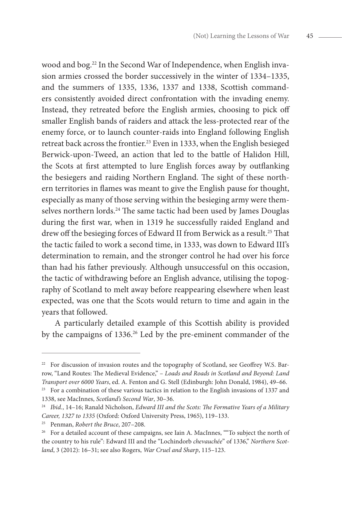wood and bog.<sup>22</sup> In the Second War of Independence, when English invasion armies crossed the border successively in the winter of 1334–1335, and the summers of 1335, 1336, 1337 and 1338, Scottish commanders consistently avoided direct confrontation with the invading enemy. Instead, they retreated before the English armies, choosing to pick off smaller English bands of raiders and attack the less-protected rear of the enemy force, or to launch counter-raids into England following English retreat back across the frontier.<sup>23</sup> Even in 1333, when the English besieged Berwick-upon-Tweed, an action that led to the battle of Halidon Hill, the Scots at first attempted to lure English forces away by outflanking the besiegers and raiding Northern England. The sight of these northern territories in flames was meant to give the English pause for thought, especially as many of those serving within the besieging army were themselves northern lords.<sup>24</sup> The same tactic had been used by James Douglas during the first war, when in 1319 he successfully raided England and drew off the besieging forces of Edward II from Berwick as a result.<sup>25</sup> That the tactic failed to work a second time, in 1333, was down to Edward III's determination to remain, and the stronger control he had over his force than had his father previously. Although unsuccessful on this occasion, the tactic of withdrawing before an English advance, utilising the topography of Scotland to melt away before reappearing elsewhere when least expected, was one that the Scots would return to time and again in the years that followed.

A particularly detailed example of this Scottish ability is provided by the campaigns of 1336.<sup>26</sup> Led by the pre-eminent commander of the

<sup>&</sup>lt;sup>22</sup> For discussion of invasion routes and the topography of Scotland, see Geoffrey W.S. Barrow, "Land Routes: The Medieval Evidence," – *Loads and Roads in Scotland and Beyond: Land Transport over 6000 Years*, ed. A. Fenton and G. Stell (Edinburgh: John Donald, 1984), 49–66.

 $23$  For a combination of these various tactics in relation to the English invasions of 1337 and 1338, see MacInnes, *Scotland's Second War*, 30–36.

<sup>24</sup> *Ibid.*, 14–16; Ranald Nicholson, *Edward III and the Scots: The Formative Years of a Military Career, 1327 to 1335* (Oxford: Oxford University Press, 1965), 119–133.

<sup>25</sup> Penman, *Robert the Bruce*, 207–208.

<sup>&</sup>lt;sup>26</sup> For a detailed account of these campaigns, see Iain A. MacInnes, ""To subject the north of the country to his rule": Edward III and the "Lochindorb *chevauchée*" of 1336," *Northern Scotland*, 3 (2012): 16–31; see also Rogers, *War Cruel and Sharp*, 115–123.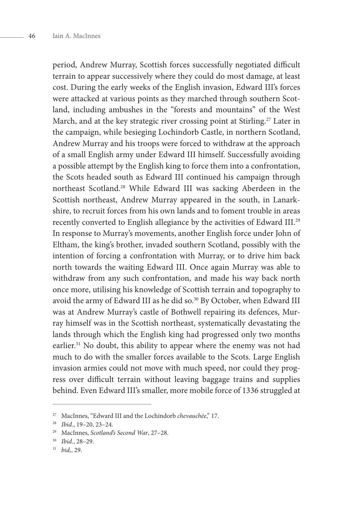period, Andrew Murray, Scottish forces successfully negotiated difficult terrain to appear successively where they could do most damage, at least cost. During the early weeks of the English invasion, Edward III's forces were attacked at various points as they marched through southern Scotland, including ambushes in the "forests and mountains" of the West March, and at the key strategic river crossing point at Stirling.<sup>27</sup> Later in the campaign, while besieging Lochindorb Castle, in northern Scotland, Andrew Murray and his troops were forced to withdraw at the approach of a small English army under Edward III himself. Successfully avoiding a possible attempt by the English king to force them into a confrontation, the Scots headed south as Edward III continued his campaign through northeast Scotland.28 While Edward III was sacking Aberdeen in the Scottish northeast, Andrew Murray appeared in the south, in Lanarkshire, to recruit forces from his own lands and to foment trouble in areas recently converted to English allegiance by the activities of Edward III.29 In response to Murray's movements, another English force under John of Eltham, the king's brother, invaded southern Scotland, possibly with the intention of forcing a confrontation with Murray, or to drive him back north towards the waiting Edward III. Once again Murray was able to withdraw from any such confrontation, and made his way back north once more, utilising his knowledge of Scottish terrain and topography to avoid the army of Edward III as he did so.<sup>30</sup> By October, when Edward III was at Andrew Murray's castle of Bothwell repairing its defences, Murray himself was in the Scottish northeast, systematically devastating the lands through which the English king had progressed only two months earlier.<sup>31</sup> No doubt, this ability to appear where the enemy was not had much to do with the smaller forces available to the Scots. Large English invasion armies could not move with much speed, nor could they progress over difficult terrain without leaving baggage trains and supplies behind. Even Edward III's smaller, more mobile force of 1336 struggled at

<sup>27</sup> MacInnes, "Edward III and the Lochindorb *chevauchée*," 17.

<sup>28</sup> *Ibid.*, 19–20, 23–24.

<sup>29</sup> MacInnes, *Scotland's Second War*, 27–28.

<sup>30</sup> *Ibid.*, 28–29.

<sup>31</sup> *bid,*, 29.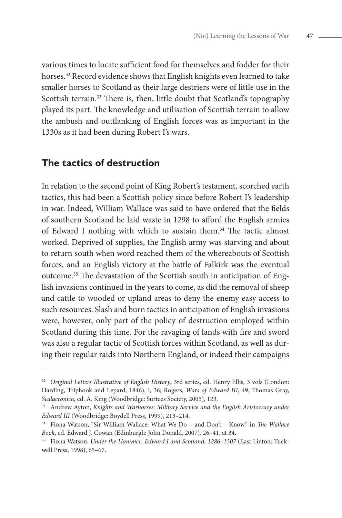various times to locate sufficient food for themselves and fodder for their horses.<sup>32</sup> Record evidence shows that English knights even learned to take smaller horses to Scotland as their large destriers were of little use in the Scottish terrain.<sup>33</sup> There is, then, little doubt that Scotland's topography played its part. The knowledge and utilisation of Scottish terrain to allow the ambush and outflanking of English forces was as important in the 1330s as it had been during Robert I's wars.

#### **The tactics of destruction**

In relation to the second point of King Robert's testament, scorched earth tactics, this had been a Scottish policy since before Robert I's leadership in war. Indeed, William Wallace was said to have ordered that the fields of southern Scotland be laid waste in 1298 to afford the English armies of Edward I nothing with which to sustain them.34 The tactic almost worked. Deprived of supplies, the English army was starving and about to return south when word reached them of the whereabouts of Scottish forces, and an English victory at the battle of Falkirk was the eventual outcome.35 The devastation of the Scottish south in anticipation of English invasions continued in the years to come, as did the removal of sheep and cattle to wooded or upland areas to deny the enemy easy access to such resources. Slash and burn tactics in anticipation of English invasions were, however, only part of the policy of destruction employed within Scotland during this time. For the ravaging of lands with fire and sword was also a regular tactic of Scottish forces within Scotland, as well as during their regular raids into Northern England, or indeed their campaigns

<sup>&</sup>lt;sup>32</sup> Original Letters Illustrative of English History, 3rd series, ed. Henry Ellis, 3 vols (London: Harding, Triphook and Lepard, 1846), i, 36; Rogers, *Wars of Edward III*, 49; Thomas Gray, *Scalacronica*, ed. A. King (Woodbridge: Surtees Society, 2005), 123.

<sup>33</sup> Andrew Ayton, *Knights and Warhorses: Military Service and the English Aristocracy under Edward III* (Woodbridge: Boydell Press, 1999), 213–214.

<sup>34</sup> Fiona Watson, "Sir William Wallace: What We Do – and Don't – Know," in *The Wallace Book*, ed. Edward J. Cowan (Edinburgh: John Donald, 2007), 26–41, at 34.

<sup>35</sup> Fiona Watson, *Under the Hammer: Edward I and Scotland, 1286–1307* (East Linton: Tuckwell Press, 1998), 65–67.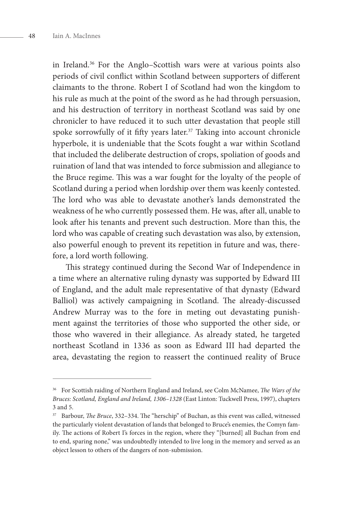in Ireland.36 For the Anglo–Scottish wars were at various points also periods of civil conflict within Scotland between supporters of different claimants to the throne. Robert I of Scotland had won the kingdom to his rule as much at the point of the sword as he had through persuasion, and his destruction of territory in northeast Scotland was said by one chronicler to have reduced it to such utter devastation that people still spoke sorrowfully of it fifty years later. $37$  Taking into account chronicle hyperbole, it is undeniable that the Scots fought a war within Scotland that included the deliberate destruction of crops, spoliation of goods and ruination of land that was intended to force submission and allegiance to the Bruce regime. This was a war fought for the loyalty of the people of Scotland during a period when lordship over them was keenly contested. The lord who was able to devastate another's lands demonstrated the weakness of he who currently possessed them. He was, after all, unable to look after his tenants and prevent such destruction. More than this, the lord who was capable of creating such devastation was also, by extension, also powerful enough to prevent its repetition in future and was, therefore, a lord worth following.

This strategy continued during the Second War of Independence in a time where an alternative ruling dynasty was supported by Edward III of England, and the adult male representative of that dynasty (Edward Balliol) was actively campaigning in Scotland. The already-discussed Andrew Murray was to the fore in meting out devastating punishment against the territories of those who supported the other side, or those who wavered in their allegiance. As already stated, he targeted northeast Scotland in 1336 as soon as Edward III had departed the area, devastating the region to reassert the continued reality of Bruce

<sup>36</sup> For Scottish raiding of Northern England and Ireland, see Colm McNamee, *The Wars of the Bruces: Scotland, England and Ireland, 1306–1328* (East Linton: Tuckwell Press, 1997), chapters 3 and 5.

<sup>37</sup> Barbour, *The Bruce*, 332–334. The "herschip" of Buchan, as this event was called, witnessed the particularly violent devastation of lands that belonged to Bruce's enemies, the Comyn family. The actions of Robert I's forces in the region, where they "[burned] all Buchan from end to end, sparing none," was undoubtedly intended to live long in the memory and served as an object lesson to others of the dangers of non-submission.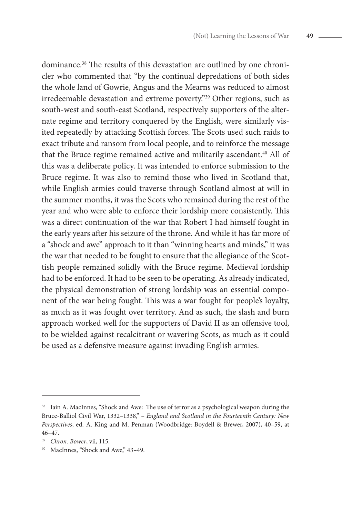dominance.38 The results of this devastation are outlined by one chronicler who commented that "by the continual depredations of both sides the whole land of Gowrie, Angus and the Mearns was reduced to almost irredeemable devastation and extreme poverty."39 Other regions, such as south-west and south-east Scotland, respectively supporters of the alternate regime and territory conquered by the English, were similarly visited repeatedly by attacking Scottish forces. The Scots used such raids to exact tribute and ransom from local people, and to reinforce the message that the Bruce regime remained active and militarily ascendant.<sup>40</sup> All of this was a deliberate policy. It was intended to enforce submission to the Bruce regime. It was also to remind those who lived in Scotland that, while English armies could traverse through Scotland almost at will in the summer months, it was the Scots who remained during the rest of the year and who were able to enforce their lordship more consistently. This was a direct continuation of the war that Robert I had himself fought in the early years after his seizure of the throne. And while it has far more of a "shock and awe" approach to it than "winning hearts and minds," it was the war that needed to be fought to ensure that the allegiance of the Scottish people remained solidly with the Bruce regime. Medieval lordship had to be enforced. It had to be seen to be operating. As already indicated, the physical demonstration of strong lordship was an essential component of the war being fought. This was a war fought for people's loyalty, as much as it was fought over territory. And as such, the slash and burn approach worked well for the supporters of David II as an offensive tool, to be wielded against recalcitrant or wavering Scots, as much as it could be used as a defensive measure against invading English armies.

<sup>&</sup>lt;sup>38</sup> Iain A. MacInnes, "Shock and Awe: The use of terror as a psychological weapon during the Bruce-Balliol Civil War, 1332–1338," – *England and Scotland in the Fourteenth Century: New Perspectives*, ed. A. King and M. Penman (Woodbridge: Boydell & Brewer, 2007), 40–59, at 46–47.

<sup>39</sup> *Chron. Bower*, vii, 115.

<sup>40</sup> MacInnes, "Shock and Awe," 43–49.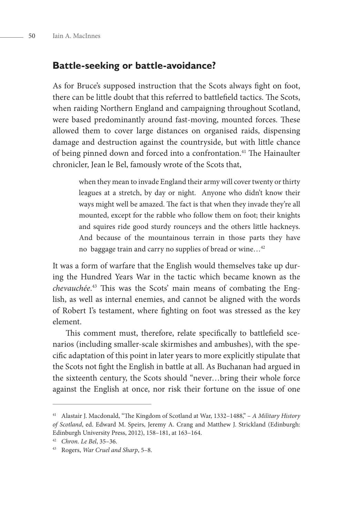#### **Battle-seeking or battle-avoidance?**

As for Bruce's supposed instruction that the Scots always fight on foot, there can be little doubt that this referred to battlefield tactics. The Scots, when raiding Northern England and campaigning throughout Scotland, were based predominantly around fast-moving, mounted forces. These allowed them to cover large distances on organised raids, dispensing damage and destruction against the countryside, but with little chance of being pinned down and forced into a confrontation.<sup>41</sup> The Hainaulter chronicler, Jean le Bel, famously wrote of the Scots that,

> when they mean to invade England their army will cover twenty or thirty leagues at a stretch, by day or night. Anyone who didn't know their ways might well be amazed. The fact is that when they invade they're all mounted, except for the rabble who follow them on foot; their knights and squires ride good sturdy rounceys and the others little hackneys. And because of the mountainous terrain in those parts they have no baggage train and carry no supplies of bread or wine…42

It was a form of warfare that the English would themselves take up during the Hundred Years War in the tactic which became known as the *chevauchée*. 43 This was the Scots' main means of combating the English, as well as internal enemies, and cannot be aligned with the words of Robert I's testament, where fighting on foot was stressed as the key element.

This comment must, therefore, relate specifically to battlefield scenarios (including smaller-scale skirmishes and ambushes), with the specific adaptation of this point in later years to more explicitly stipulate that the Scots not fight the English in battle at all. As Buchanan had argued in the sixteenth century, the Scots should "never…bring their whole force against the English at once, nor risk their fortune on the issue of one

<sup>41</sup> Alastair J. Macdonald, "The Kingdom of Scotland at War, 1332–1488," – *A Military History of Scotland*, ed. Edward M. Speirs, Jeremy A. Crang and Matthew J. Strickland (Edinburgh: Edinburgh University Press, 2012), 158–181, at 163–164.

<sup>42</sup> *Chron. Le Bel*, 35–36.

<sup>43</sup> Rogers, *War Cruel and Sharp*, 5–8.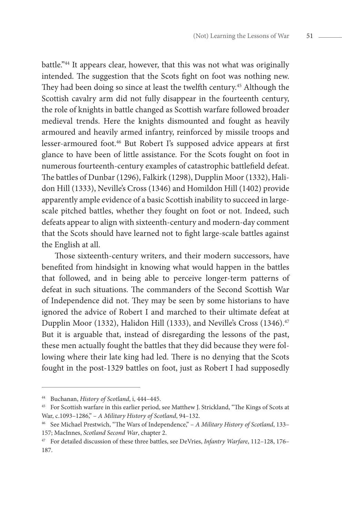battle."44 It appears clear, however, that this was not what was originally intended. The suggestion that the Scots fight on foot was nothing new. They had been doing so since at least the twelfth century.<sup>45</sup> Although the Scottish cavalry arm did not fully disappear in the fourteenth century, the role of knights in battle changed as Scottish warfare followed broader medieval trends. Here the knights dismounted and fought as heavily armoured and heavily armed infantry, reinforced by missile troops and lesser-armoured foot.46 But Robert I's supposed advice appears at first glance to have been of little assistance. For the Scots fought on foot in numerous fourteenth-century examples of catastrophic battlefield defeat. The battles of Dunbar (1296), Falkirk (1298), Dupplin Moor (1332), Halidon Hill (1333), Neville's Cross (1346) and Homildon Hill (1402) provide apparently ample evidence of a basic Scottish inability to succeed in largescale pitched battles, whether they fought on foot or not. Indeed, such defeats appear to align with sixteenth-century and modern-day comment that the Scots should have learned not to fight large-scale battles against the English at all.

Those sixteenth-century writers, and their modern successors, have benefited from hindsight in knowing what would happen in the battles that followed, and in being able to perceive longer-term patterns of defeat in such situations. The commanders of the Second Scottish War of Independence did not. They may be seen by some historians to have ignored the advice of Robert I and marched to their ultimate defeat at Dupplin Moor (1332), Halidon Hill (1333), and Neville's Cross (1346).<sup>47</sup> But it is arguable that, instead of disregarding the lessons of the past, these men actually fought the battles that they did because they were following where their late king had led. There is no denying that the Scots fought in the post-1329 battles on foot, just as Robert I had supposedly

<sup>44</sup> Buchanan, *History of Scotland*, i, 444–445.

<sup>45</sup> For Scottish warfare in this earlier period, see Matthew J. Strickland, "The Kings of Scots at War, c.1093–1286," – *A Military History of Scotland*, 94–132.

<sup>46</sup> See Michael Prestwich, "The Wars of Independence," – *A Military History of Scotland*, 133– 157; MacInnes, *Scotland Second War*, chapter 2.

<sup>47</sup> For detailed discussion of these three battles, see DeVries, *Infantry Warfare*, 112–128, 176– 187.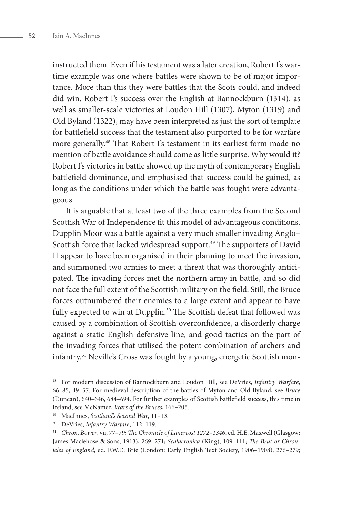instructed them. Even if his testament was a later creation, Robert I's wartime example was one where battles were shown to be of major importance. More than this they were battles that the Scots could, and indeed did win. Robert I's success over the English at Bannockburn (1314), as well as smaller-scale victories at Loudon Hill (1307), Myton (1319) and Old Byland (1322), may have been interpreted as just the sort of template for battlefield success that the testament also purported to be for warfare more generally.48 That Robert I's testament in its earliest form made no mention of battle avoidance should come as little surprise. Why would it? Robert I's victories in battle showed up the myth of contemporary English battlefield dominance, and emphasised that success could be gained, as long as the conditions under which the battle was fought were advantageous.

It is arguable that at least two of the three examples from the Second Scottish War of Independence fit this model of advantageous conditions. Dupplin Moor was a battle against a very much smaller invading Anglo– Scottish force that lacked widespread support.<sup>49</sup> The supporters of David II appear to have been organised in their planning to meet the invasion, and summoned two armies to meet a threat that was thoroughly anticipated. The invading forces met the northern army in battle, and so did not face the full extent of the Scottish military on the field. Still, the Bruce forces outnumbered their enemies to a large extent and appear to have fully expected to win at Dupplin.<sup>50</sup> The Scottish defeat that followed was caused by a combination of Scottish overconfidence, a disorderly charge against a static English defensive line, and good tactics on the part of the invading forces that utilised the potent combination of archers and infantry.51 Neville's Cross was fought by a young, energetic Scottish mon-

<sup>48</sup> For modern discussion of Bannockburn and Loudon Hill, see DeVries, *Infantry Warfare*, 66–85, 49–57. For medieval description of the battles of Myton and Old Byland, see *Bruce*  (Duncan), 640–646, 684–694. For further examples of Scottish battlefield success, this time in Ireland, see McNamee, *Wars of the Bruces*, 166–205. 49 MacInnes, *Scotland's Second War*, 11–13.

<sup>50</sup> DeVries, *Infantry Warfare*, 112–119.

<sup>51</sup> *Chron. Bower*, vii, 77–79; *The Chronicle of Lanercost 1272–1346*, ed. H.E. Maxwell (Glasgow: James Maclehose & Sons, 1913), 269–271; *Scalacronica* (King), 109–111; *The Brut or Chronicles of England*, ed. F.W.D. Brie (London: Early English Text Society, 1906–1908), 276–279;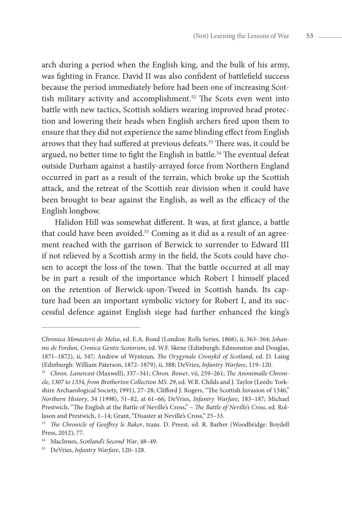arch during a period when the English king, and the bulk of his army, was fighting in France. David II was also confident of battlefield success because the period immediately before had been one of increasing Scottish military activity and accomplishment.<sup>52</sup> The Scots even went into battle with new tactics, Scottish soldiers wearing improved head protection and lowering their heads when English archers fired upon them to ensure that they did not experience the same blinding effect from English arrows that they had suffered at previous defeats.<sup>53</sup> There was, it could be argued, no better time to fight the English in battle.54 The eventual defeat outside Durham against a hastily-arrayed force from Northern England occurred in part as a result of the terrain, which broke up the Scottish attack, and the retreat of the Scottish rear division when it could have been brought to bear against the English, as well as the efficacy of the English longbow.

Halidon Hill was somewhat different. It was, at first glance, a battle that could have been avoided.<sup>55</sup> Coming as it did as a result of an agreement reached with the garrison of Berwick to surrender to Edward III if not relieved by a Scottish army in the field, the Scots could have chosen to accept the loss of the town. That the battle occurred at all may be in part a result of the importance which Robert I himself placed on the retention of Berwick-upon-Tweed in Scottish hands. Its capture had been an important symbolic victory for Robert I, and its successful defence against English siege had further enhanced the king's

*Chronica Monasterii de Melsa*, ed. E.A. Bond (London: Rolls Series, 1868), ii, 363–364; *Johannis de Fordun, Cronica Gentis Scotorum*, ed. W.F. Skene (Edinburgh: Edmonston and Douglas, 1871–1872), ii, 347; Andrew of Wyntoun, *The Orygynale Cronykil of Scotland*, ed. D. Laing (Edinburgh: William Paterson, 1872–1879), ii, 388; DeVries, *Infantry Warfare*, 119–120.

<sup>52</sup> *Chron. Lanercost* (Maxwell), 337–341; *Chron. Bower*, vii, 259–261; *The Anonimalle Chronicle, 1307 to 1334, from Brotherton Collection MS. 29*, ed. W.R. Childs and J. Taylor (Leeds: Yorkshire Archaeological Society, 1991), 27–28; Clifford J. Rogers, "The Scottish Invasion of 1346," *Northern History*, 34 (1998), 51–82, at 61–66; DeVries, *Infantry Warfare*, 183–187; Michael Prestwich, "The English at the Battle of Neville's Cross," – *The Battle of Neville's Cross*, ed. Rollason and Prestwich, 1–14; Grant, "Disaster at Neville's Cross," 25–33.

<sup>53</sup> *The Chronicle of Geoffrey le Baker*, trans. D. Preest, ed. R. Barber (Woodbridge: Boydell Press, 2012), 77.

<sup>54</sup> MacInnes, *Scotland's Second War*, 48–49. 55 DeVries, *Infantry Warfare*, 120–128.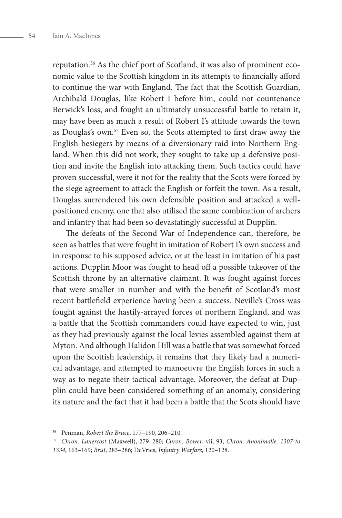reputation.56 As the chief port of Scotland, it was also of prominent economic value to the Scottish kingdom in its attempts to financially afford to continue the war with England. The fact that the Scottish Guardian, Archibald Douglas, like Robert I before him, could not countenance Berwick's loss, and fought an ultimately unsuccessful battle to retain it, may have been as much a result of Robert I's attitude towards the town as Douglas's own.57 Even so, the Scots attempted to first draw away the English besiegers by means of a diversionary raid into Northern England. When this did not work, they sought to take up a defensive position and invite the English into attacking them. Such tactics could have proven successful, were it not for the reality that the Scots were forced by the siege agreement to attack the English or forfeit the town. As a result, Douglas surrendered his own defensible position and attacked a wellpositioned enemy, one that also utilised the same combination of archers and infantry that had been so devastatingly successful at Dupplin.

The defeats of the Second War of Independence can, therefore, be seen as battles that were fought in imitation of Robert I's own success and in response to his supposed advice, or at the least in imitation of his past actions. Dupplin Moor was fought to head off a possible takeover of the Scottish throne by an alternative claimant. It was fought against forces that were smaller in number and with the benefit of Scotland's most recent battlefield experience having been a success. Neville's Cross was fought against the hastily-arrayed forces of northern England, and was a battle that the Scottish commanders could have expected to win, just as they had previously against the local levies assembled against them at Myton. And although Halidon Hill was a battle that was somewhat forced upon the Scottish leadership, it remains that they likely had a numerical advantage, and attempted to manoeuvre the English forces in such a way as to negate their tactical advantage. Moreover, the defeat at Dupplin could have been considered something of an anomaly, considering its nature and the fact that it had been a battle that the Scots should have

<sup>56</sup> Penman, *Robert the Bruce*, 177–190, 206–210.

<sup>57</sup> *Chron. Lanercost* (Maxwell), 279–280; *Chron. Bower*, vii, 93; *Chron. Anonimalle, 1307 to 1334*, 163–169; *Brut*, 283–286; DeVries, *Infantry Warfare*, 120–128.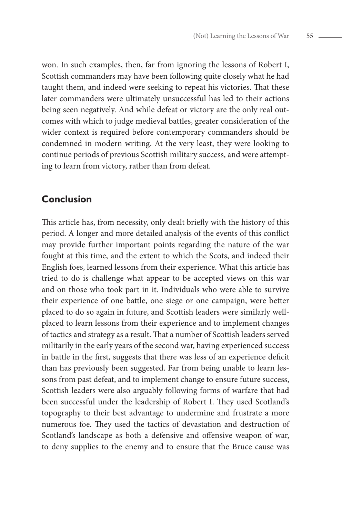won. In such examples, then, far from ignoring the lessons of Robert I, Scottish commanders may have been following quite closely what he had taught them, and indeed were seeking to repeat his victories. That these later commanders were ultimately unsuccessful has led to their actions being seen negatively. And while defeat or victory are the only real outcomes with which to judge medieval battles, greater consideration of the wider context is required before contemporary commanders should be condemned in modern writing. At the very least, they were looking to continue periods of previous Scottish military success, and were attempting to learn from victory, rather than from defeat.

### **Conclusion**

This article has, from necessity, only dealt briefly with the history of this period. A longer and more detailed analysis of the events of this conflict may provide further important points regarding the nature of the war fought at this time, and the extent to which the Scots, and indeed their English foes, learned lessons from their experience. What this article has tried to do is challenge what appear to be accepted views on this war and on those who took part in it. Individuals who were able to survive their experience of one battle, one siege or one campaign, were better placed to do so again in future, and Scottish leaders were similarly wellplaced to learn lessons from their experience and to implement changes of tactics and strategy as a result. That a number of Scottish leaders served militarily in the early years of the second war, having experienced success in battle in the first, suggests that there was less of an experience deficit than has previously been suggested. Far from being unable to learn lessons from past defeat, and to implement change to ensure future success, Scottish leaders were also arguably following forms of warfare that had been successful under the leadership of Robert I. They used Scotland's topography to their best advantage to undermine and frustrate a more numerous foe. They used the tactics of devastation and destruction of Scotland's landscape as both a defensive and offensive weapon of war, to deny supplies to the enemy and to ensure that the Bruce cause was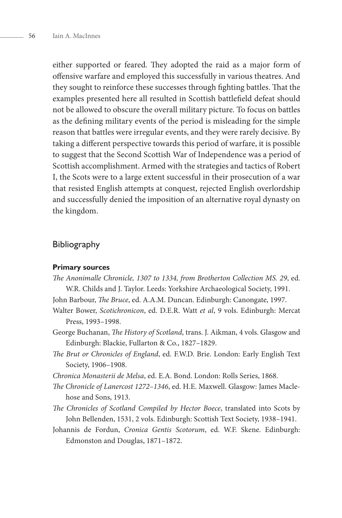either supported or feared. They adopted the raid as a major form of offensive warfare and employed this successfully in various theatres. And they sought to reinforce these successes through fighting battles. That the examples presented here all resulted in Scottish battlefield defeat should not be allowed to obscure the overall military picture. To focus on battles as the defining military events of the period is misleading for the simple reason that battles were irregular events, and they were rarely decisive. By taking a different perspective towards this period of warfare, it is possible to suggest that the Second Scottish War of Independence was a period of Scottish accomplishment. Armed with the strategies and tactics of Robert I, the Scots were to a large extent successful in their prosecution of a war that resisted English attempts at conquest, rejected English overlordship and successfully denied the imposition of an alternative royal dynasty on the kingdom.

#### Bibliography

#### **Primary sources**

- *The Anonimalle Chronicle, 1307 to 1334, from Brotherton Collection MS. 29*, ed. W.R. Childs and J. Taylor. Leeds: Yorkshire Archaeological Society, 1991.
- John Barbour, *The Bruce*, ed. A.A.M. Duncan. Edinburgh: Canongate, 1997.
- Walter Bower, *Scotichronicon*, ed. D.E.R. Watt *et al*, 9 vols. Edinburgh: Mercat Press, 1993–1998.
- George Buchanan, *The History of Scotland*, trans. J. Aikman, 4 vols. Glasgow and Edinburgh: Blackie, Fullarton & Co., 1827–1829.
- *The Brut or Chronicles of England*, ed. F.W.D. Brie. London: Early English Text Society, 1906–1908.
- *Chronica Monasterii de Melsa*, ed. E.A. Bond. London: Rolls Series, 1868.
- *The Chronicle of Lanercost 1272–1346*, ed. H.E. Maxwell. Glasgow: James Maclehose and Sons, 1913.
- *The Chronicles of Scotland Compiled by Hector Boece*, translated into Scots by John Bellenden, 1531, 2 vols. Edinburgh: Scottish Text Society, 1938–1941.
- Johannis de Fordun, *Cronica Gentis Scotorum*, ed. W.F. Skene. Edinburgh: Edmonston and Douglas, 1871–1872.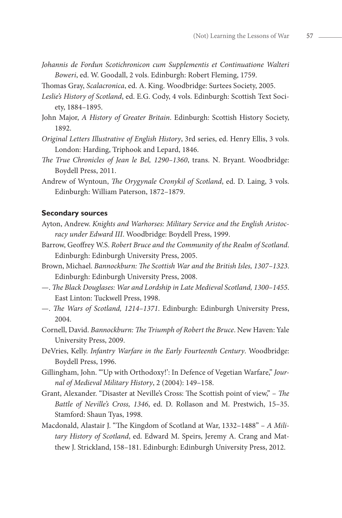- *Johannis de Fordun Scotichronicon cum Supplementis et Continuatione Walteri Boweri*, ed. W. Goodall, 2 vols. Edinburgh: Robert Fleming, 1759.
- Thomas Gray, *Scalacronica*, ed. A. King. Woodbridge: Surtees Society, 2005.
- *Leslie's History of Scotland*, ed. E.G. Cody, 4 vols. Edinburgh: Scottish Text Society, 1884–1895.
- John Major, *A History of Greater Britain*. Edinburgh: Scottish History Society, 1892.
- *Original Letters Illustrative of English History*, 3rd series, ed. Henry Ellis, 3 vols. London: Harding, Triphook and Lepard, 1846.
- *The True Chronicles of Jean le Bel, 1290–1360*, trans. N. Bryant. Woodbridge: Boydell Press, 2011.
- Andrew of Wyntoun, *The Orygynale Cronykil of Scotland*, ed. D. Laing, 3 vols. Edinburgh: William Paterson, 1872–1879.

#### **Secondary sources**

- Ayton, Andrew. *Knights and Warhorses: Military Service and the English Aristocracy under Edward III*. Woodbridge: Boydell Press, 1999.
- Barrow, Geoffrey W.S. *Robert Bruce and the Community of the Realm of Scotland*. Edinburgh: Edinburgh University Press, 2005.
- Brown, Michael. *Bannockburn: The Scottish War and the British Isles, 1307–1323*. Edinburgh: Edinburgh University Press, 2008.
- —. *The Black Douglases: War and Lordship in Late Medieval Scotland, 1300–1455*. East Linton: Tuckwell Press, 1998.
- —. *The Wars of Scotland, 1214–1371*. Edinburgh: Edinburgh University Press, 2004.
- Cornell, David. *Bannockburn: The Triumph of Robert the Bruce*. New Haven: Yale University Press, 2009.
- DeVries, Kelly. *Infantry Warfare in the Early Fourteenth Century*. Woodbridge: Boydell Press, 1996.
- Gillingham, John. "'Up with Orthodoxy!': In Defence of Vegetian Warfare," *Journal of Medieval Military History*, 2 (2004): 149–158.
- Grant, Alexander. "Disaster at Neville's Cross: The Scottish point of view," *The Battle of Neville's Cross, 1346*, ed. D. Rollason and M. Prestwich, 15–35. Stamford: Shaun Tyas, 1998.
- Macdonald, Alastair J. "The Kingdom of Scotland at War, 1332–1488" *A Military History of Scotland*, ed. Edward M. Speirs, Jeremy A. Crang and Matthew J. Strickland, 158–181. Edinburgh: Edinburgh University Press, 2012.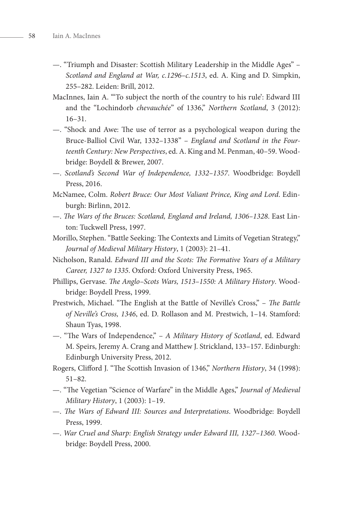- —. "Triumph and Disaster: Scottish Military Leadership in the Middle Ages" *Scotland and England at War, c.1296–c.1513*, ed. A. King and D. Simpkin, 255–282. Leiden: Brill, 2012.
- MacInnes, Iain A. "'To subject the north of the country to his rule': Edward III and the "Lochindorb *chevauchée*" of 1336," *Northern Scotland*, 3 (2012): 16–31.
- —. "Shock and Awe: The use of terror as a psychological weapon during the Bruce-Balliol Civil War, 1332–1338" – *England and Scotland in the Fourteenth Century: New Perspectives*, ed. A. King and M. Penman, 40–59. Woodbridge: Boydell & Brewer, 2007.
- —. *Scotland's Second War of Independence, 1332–1357*. Woodbridge: Boydell Press, 2016.
- McNamee, Colm. *Robert Bruce: Our Most Valiant Prince, King and Lord*. Edinburgh: Birlinn, 2012.
- —. *The Wars of the Bruces: Scotland, England and Ireland, 1306–1328*. East Linton: Tuckwell Press, 1997.
- Morillo, Stephen. "Battle Seeking: The Contexts and Limits of Vegetian Strategy," *Journal of Medieval Military History*, 1 (2003): 21–41.
- Nicholson, Ranald. *Edward III and the Scots: The Formative Years of a Military Career, 1327 to 1335*. Oxford: Oxford University Press, 1965.
- Phillips, Gervase. *The Anglo–Scots Wars, 1513–1550: A Military History*. Woodbridge: Boydell Press, 1999.
- Prestwich, Michael. "The English at the Battle of Neville's Cross," *The Battle of Neville's Cross, 1346*, ed. D. Rollason and M. Prestwich, 1–14. Stamford: Shaun Tyas, 1998.
- —. "The Wars of Independence," *A Military History of Scotland*, ed. Edward M. Speirs, Jeremy A. Crang and Matthew J. Strickland, 133–157. Edinburgh: Edinburgh University Press, 2012.
- Rogers, Clifford J. "The Scottish Invasion of 1346," *Northern History*, 34 (1998): 51–82.
- —. "The Vegetian "Science of Warfare" in the Middle Ages," *Journal of Medieval Military History*, 1 (2003): 1–19.
- —. *The Wars of Edward III: Sources and Interpretations*. Woodbridge: Boydell Press, 1999.
- —. *War Cruel and Sharp: English Strategy under Edward III, 1327–1360.* Woodbridge: Boydell Press, 2000.